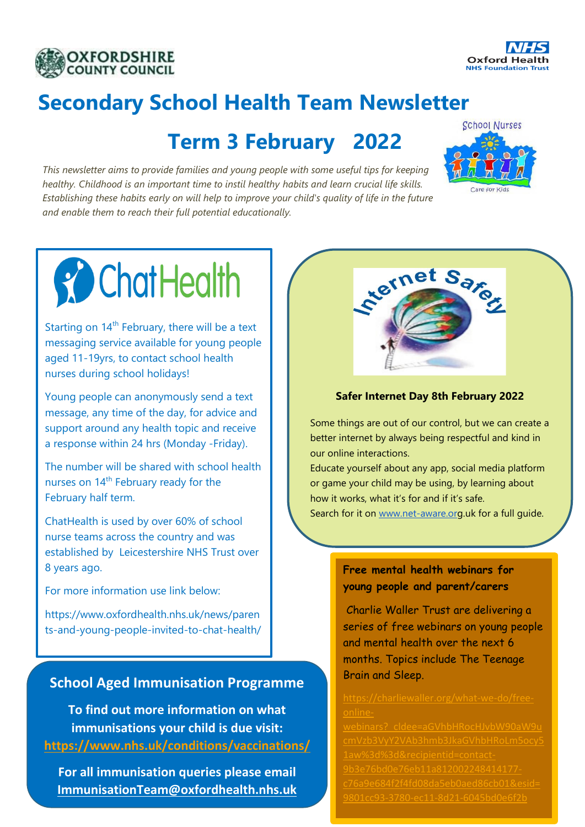



# **Secondary School Health Team Newsletter**

## **Term 3 February 2022**

*This newsletter aims to provide families and young people with some useful tips for keeping healthy. Childhood is an important time to instil healthy habits and learn crucial life skills. Establishing these habits early on will help to improve your child's quality of life in the future and enable them to reach their full potential educationally.*





Starting on  $14<sup>th</sup>$  February, there will be a text messaging service available for young people aged 11-19yrs, to contact school health nurses during school holidays!

Young people can anonymously send a text message, any time of the day, for advice and support around any health topic and receive a response within 24 hrs (Monday -Friday).

The number will be shared with school health nurses on 14<sup>th</sup> February ready for the February half term.

ChatHealth is used by over 60% of school nurse teams across the country and was established by Leicestershire NHS Trust over 8 years ago.

For more information use link below:

https://www.oxfordhealth.nhs.uk/news/paren ts-and-young-people-invited-to-chat-health/

## **School Aged Immunisation Programme**

**To find out more information on what immunisations your child is due visit: <https://www.nhs.uk/conditions/vaccinations/>**

**For all immunisation queries please email [ImmunisationTeam@oxfordhealth.nhs.uk](mailto:ImmunisationTeam@oxfordhealth.nhs.uk)**



#### **Safer Internet Day 8th February 2022**

Some things are out of our control, but we can create a better internet by always being respectful and kind in our online interactions.

Educate yourself about any app, social media platform or game your child may be using, by learning about how it works, what it's for and if it's safe.

Search for it on [www.net-aware.org](http://www.net-aware.or.uk/).uk for a full guide.

## **Free mental health webinars for young people and parent/carers**

Charlie Waller Trust are delivering a series of free webinars on young people and mental health over the next 6 months. Topics include The Teenage Brain and Sleep.

[webinars?\\_cldee=aGVhbHRocHJvbW90aW9u](https://charliewaller.org/what-we-do/free-online-webinars?_cldee=aGVhbHRocHJvbW90aW9ucmVzb3VyY2VAb3hmb3JkaGVhbHRoLm5ocy51aw%3d%3d&recipientid=contact-9b3e76bd0e76eb11a812002248414177-c76a9e684f2f4fd08da5eb0aed86cb01&esid=9801cc93-3780-ec11-8d21-6045bd0e6f2b) [1aw%3d%3d&recipientid=contact](https://charliewaller.org/what-we-do/free-online-webinars?_cldee=aGVhbHRocHJvbW90aW9ucmVzb3VyY2VAb3hmb3JkaGVhbHRoLm5ocy51aw%3d%3d&recipientid=contact-9b3e76bd0e76eb11a812002248414177-c76a9e684f2f4fd08da5eb0aed86cb01&esid=9801cc93-3780-ec11-8d21-6045bd0e6f2b)[c76a9e684f2f4fd08da5eb0aed86cb01&esid=](https://charliewaller.org/what-we-do/free-online-webinars?_cldee=aGVhbHRocHJvbW90aW9ucmVzb3VyY2VAb3hmb3JkaGVhbHRoLm5ocy51aw%3d%3d&recipientid=contact-9b3e76bd0e76eb11a812002248414177-c76a9e684f2f4fd08da5eb0aed86cb01&esid=9801cc93-3780-ec11-8d21-6045bd0e6f2b) [9801cc93-3780-ec11-8d21-6045bd0e6f2b](https://charliewaller.org/what-we-do/free-online-webinars?_cldee=aGVhbHRocHJvbW90aW9ucmVzb3VyY2VAb3hmb3JkaGVhbHRoLm5ocy51aw%3d%3d&recipientid=contact-9b3e76bd0e76eb11a812002248414177-c76a9e684f2f4fd08da5eb0aed86cb01&esid=9801cc93-3780-ec11-8d21-6045bd0e6f2b)